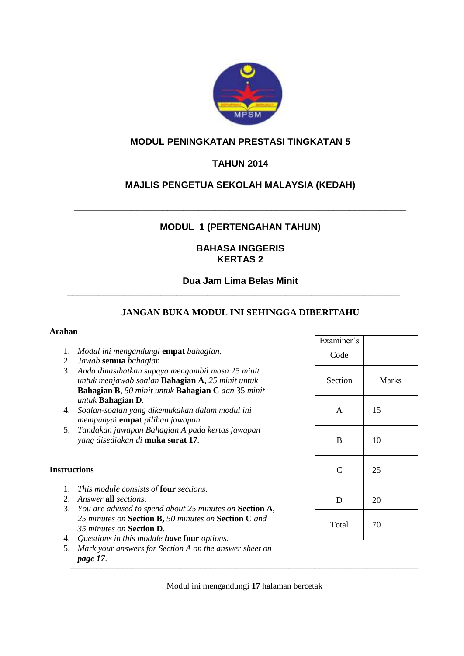

# **MODUL PENINGKATAN PRESTASI TINGKATAN 5**

# **TAHUN 2014**

# **MAJLIS PENGETUA SEKOLAH MALAYSIA (KEDAH)**

## **MODUL 1 (PERTENGAHAN TAHUN)**

**\_\_\_\_\_\_\_\_\_\_\_\_\_\_\_\_\_\_\_\_\_\_\_\_\_\_\_\_\_\_\_\_\_\_\_\_\_\_\_\_\_\_\_\_\_\_\_\_\_\_\_\_\_\_\_\_\_\_\_\_\_\_\_\_**

## **BAHASA INGGERIS KERTAS 2**

#### **Dua Jam Lima Belas Minit**

**\_\_\_\_\_\_\_\_\_\_\_\_\_\_\_\_\_\_\_\_\_\_\_\_\_\_\_\_\_\_\_\_\_\_\_\_\_\_\_\_\_\_\_\_\_\_\_\_\_\_\_\_\_\_\_\_\_\_\_\_\_\_\_\_**

# **JANGAN BUKA MODUL INI SEHINGGA DIBERITAHU**

#### **Arahan**

- 1. *Modul ini mengandungi* **empat** *bahagian*.
- 2. *Jawab* **semua** *bahagian*.
- 3. *Anda dinasihatkan supaya mengambil masa* 25 *minit untuk menjawab soalan* **Bahagian A**, *25 minit untuk*  **Bahagian B**, *50 minit untuk* **Bahagian C** *dan* 35 *minit untuk* **Bahagian D**.
- 4. *Soalan-soalan yang dikemukakan dalam modul ini mempunya*i **empat** *pilihan jawapan.*
- 5. *Tandakan jawapan Bahagian A pada kertas jawapan yang disediakan di* **muka surat 17***.*

#### **Instructions**

- 1. *This module consists of* **four** *sections.*
- 2. *Answer* **all** *sections*.
- 3. *You are advised to spend about 25 minutes on* **Section A**, *25 minutes on* **Section B,** *50 minutes on* **Section C** *and 35 minutes on* **Section D**.
- 4. *Questions in this module have* **four** *options*.
- 5. *Mark your answers for Section A on the answer sheet on page 17*.  $\frac{p_{\alpha}}{p_{\alpha}}$

| Examiner's<br>Code |    |              |
|--------------------|----|--------------|
| Section            |    | <b>Marks</b> |
| A                  | 15 |              |
| B                  | 10 |              |
| $\overline{C}$     | 25 |              |
| D                  | 20 |              |
| Total              | 70 |              |

Modul ini mengandungi **17** halaman bercetak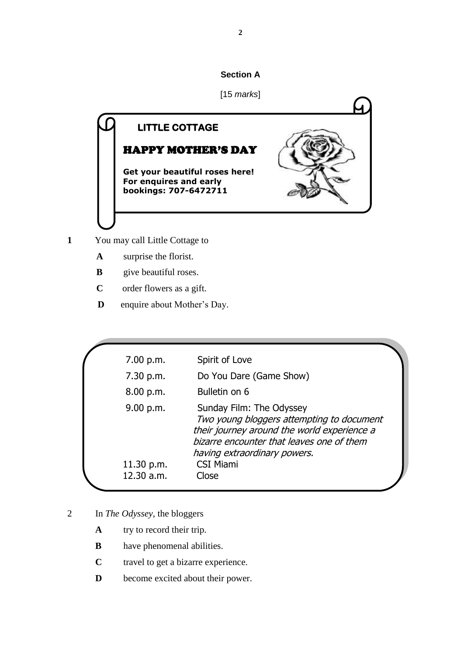# **Section A**



- **1** You may call Little Cottage to
	- **A** surprise the florist.
	- **B** give beautiful roses.
	- **C** order flowers as a gift.
	- **D** enquire about Mother's Day.

| 7.00 p.m.  | Spirit of Love                                                                                                                                                                                    |
|------------|---------------------------------------------------------------------------------------------------------------------------------------------------------------------------------------------------|
| 7.30 p.m.  | Do You Dare (Game Show)                                                                                                                                                                           |
| 8.00 p.m.  | Bulletin on 6                                                                                                                                                                                     |
| 9.00 p.m.  | Sunday Film: The Odyssey<br>Two young bloggers attempting to document<br>their journey around the world experience a<br>bizarre encounter that leaves one of them<br>having extraordinary powers. |
| 11.30 p.m. | <b>CSI Miami</b>                                                                                                                                                                                  |
| 12.30 a.m. | Close                                                                                                                                                                                             |

- 2 In *The Odyssey*, the bloggers
	- **A** try to record their trip.
	- **B** have phenomenal abilities.
	- **C** travel to get a bizarre experience.
	- **D** become excited about their power.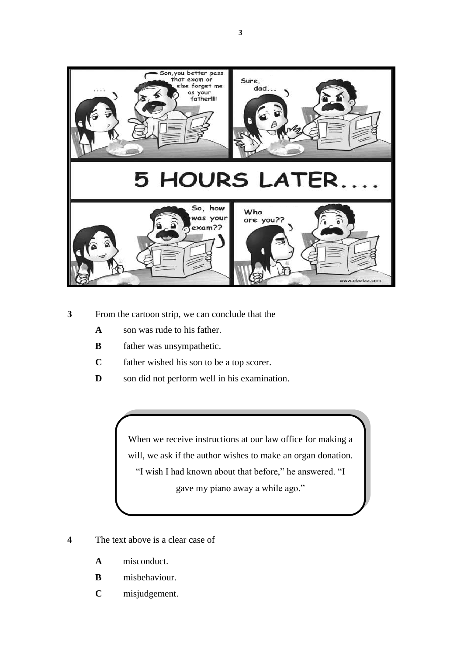

- **3** From the cartoon strip, we can conclude that the
	- **A** son was rude to his father.
	- **B** father was unsympathetic.
	- **C** father wished his son to be a top scorer.
	- **D** son did not perform well in his examination.

When we receive instructions at our law office for making a will, we ask if the author wishes to make an organ donation. "I wish I had known about that before," he answered. "I gave my piano away a while ago."

- **4** The text above is a clear case of
	- **A** misconduct.
	- **B** misbehaviour.
	- **C** misjudgement.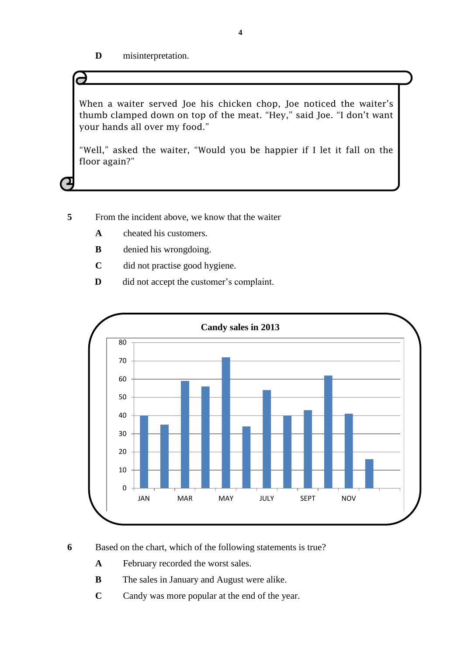**D** misinterpretation.

When a waiter served Joe his chicken chop, Joe noticed the waiter's thumb clamped down on top of the meat. "Hey," said Joe. "I don't want your hands all over my food."

"Well," asked the waiter, "Would you be happier if I let it fall on the floor again?"

**5** From the incident above, we know that the waiter

- **A** cheated his customers.
- **B** denied his wrongdoing.
- **C** did not practise good hygiene.
- **D** did not accept the customer's complaint.



**6** Based on the chart, which of the following statements is true?

 **A** February recorded the worst sales.

- **B** The sales in January and August were alike.
- **C** Candy was more popular at the end of the year.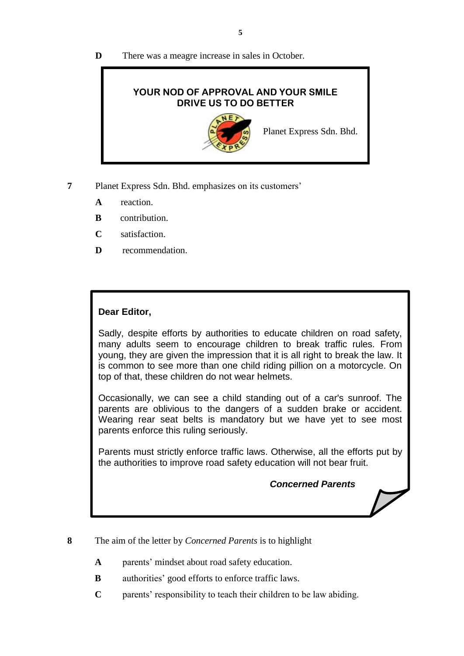## **D** There was a meagre increase in sales in October.



**7** Planet Express Sdn. Bhd. emphasizes on its customers'

- **A** reaction.
- **B** contribution.
- **C** satisfaction.
- **D** recommendation.

# **Dear Editor,**

Sadly, despite efforts by authorities to educate children on road safety, many adults seem to encourage children to break traffic rules. From young, they are given the impression that it is all right to break the law. It is common to see more than one child riding pillion on a motorcycle. On top of that, these children do not wear helmets.

Occasionally, we can see a child standing out of a car's sunroof. The parents are oblivious to the dangers of a sudden brake or accident. Wearing rear seat belts is mandatory but we have yet to see most parents enforce this ruling seriously.

Parents must strictly enforce traffic laws. Otherwise, all the efforts put by the authorities to improve road safety education will not bear fruit.

*Concerned Parents*

- **8** The aim of the letter by *Concerned Parents* is to highlight
	- **A** parents' mindset about road safety education.
	- **B** authorities' good efforts to enforce traffic laws.
	- **C** parents' responsibility to teach their children to be law abiding.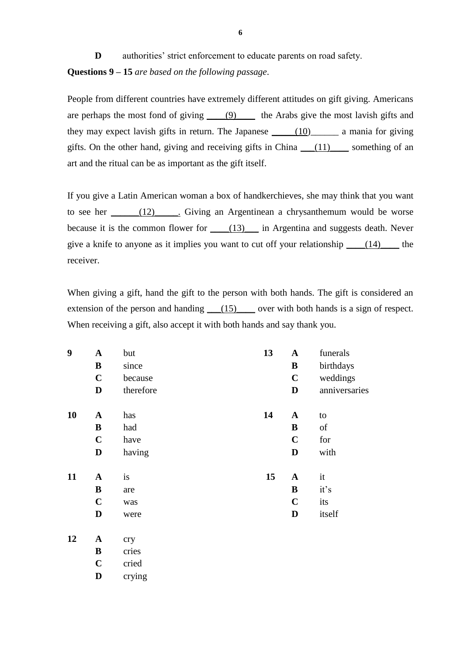**D** authorities' strict enforcement to educate parents on road safety. **Questions 9 – 15** *are based on the following passage*.

People from different countries have extremely different attitudes on gift giving. Americans are perhaps the most fond of giving \_\_\_\_(9)\_\_\_\_ the Arabs give the most lavish gifts and they may expect lavish gifts in return. The Japanese  $\frac{(10)}{2}$  a mania for giving gifts. On the other hand, giving and receiving gifts in China  $(11)$  something of an art and the ritual can be as important as the gift itself.

If you give a Latin American woman a box of handkerchieves, she may think that you want to see her  $\frac{12}{12}$ . Giving an Argentinean a chrysanthemum would be worse because it is the common flower for  $\underline{\hspace{1cm}}(13)\underline{\hspace{1cm}}$  in Argentina and suggests death. Never give a knife to anyone as it implies you want to cut off your relationship  $(14)$  the receiver.

When giving a gift, hand the gift to the person with both hands. The gift is considered an extension of the person and handing  $(15)$  over with both hands is a sign of respect. When receiving a gift, also accept it with both hands and say thank you.

| 9  | $\mathbf A$  | but       | 13 | $\mathbf A$  | funerals      |
|----|--------------|-----------|----|--------------|---------------|
|    | $\, {\bf B}$ | since     |    | B            | birthdays     |
|    | $\mathbf C$  | because   |    | $\mathbf C$  | weddings      |
|    | $\mathbf D$  | therefore |    | D            | anniversaries |
| 10 | $\mathbf A$  | has       | 14 | $\mathbf{A}$ | to            |
|    | ${\bf B}$    | had       |    | B            | of            |
|    | $\mathbf C$  | have      |    | $\mathbf C$  | for           |
|    | $\mathbf D$  | having    |    | D            | with          |
| 11 | $\mathbf A$  | is        | 15 | $\mathbf{A}$ | it            |
|    | ${\bf B}$    | are       |    | B            | it's          |
|    | $\mathbf C$  | was       |    | $\mathbf C$  | its           |
|    | $\mathbf D$  | were      |    | D            | itself        |
| 12 | ${\bf A}$    | cry       |    |              |               |
|    | $\, {\bf B}$ | cries     |    |              |               |
|    | $\mathbf C$  | cried     |    |              |               |
|    | D            | crying    |    |              |               |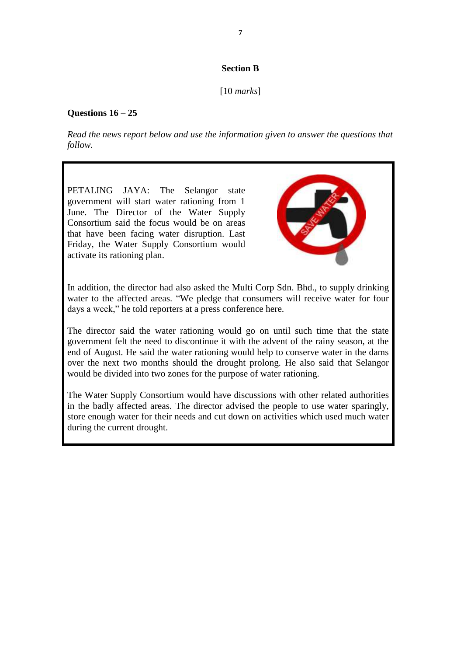## **Section B**

[10 *marks*]

# **Questions 16 – 25**

*Read the news report below and use the information given to answer the questions that follow.*

PETALING JAYA: The Selangor state government will start water rationing from 1 June. The Director of the Water Supply Consortium said the focus would be on areas that have been facing water disruption. Last Friday, the Water Supply Consortium would activate its rationing plan.



In addition, the director had also asked the Multi Corp Sdn. Bhd., to supply drinking water to the affected areas. "We pledge that consumers will receive water for four days a week," he told reporters at a press conference here.

The director said the water rationing would go on until such time that the state government felt the need to discontinue it with the advent of the rainy season, at the end of August. He said the water rationing would help to conserve water in the dams over the next two months should the drought prolong. He also said that Selangor would be divided into two zones for the purpose of water rationing.

The Water Supply Consortium would have discussions with other related authorities in the badly affected areas. The director advised the people to use water sparingly, store enough water for their needs and cut down on activities which used much water during the current drought.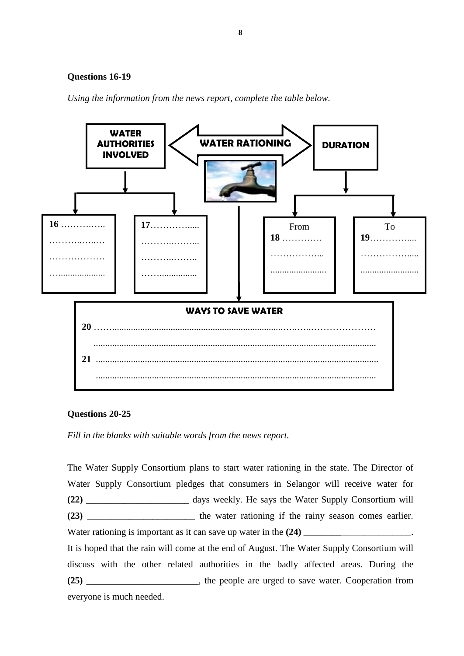#### **Questions 16-19**

*Using the information from the news report, complete the table below.*



#### **Questions 20-25**

*Fill in the blanks with suitable words from the news report.*

The Water Supply Consortium plans to start water rationing in the state. The Director of Water Supply Consortium pledges that consumers in Selangor will receive water for **(22)** \_\_\_\_\_\_\_\_\_\_\_\_\_\_\_\_\_\_\_\_\_\_ days weekly. He says the Water Supply Consortium will **(23)** \_\_\_\_\_\_\_\_\_\_\_\_\_\_\_\_\_\_\_\_\_\_\_ the water rationing if the rainy season comes earlier. Water rationing is important as it can save up water in the  $(24)$ It is hoped that the rain will come at the end of August. The Water Supply Consortium will discuss with the other related authorities in the badly affected areas. During the **(25)** \_\_\_\_\_\_\_\_\_\_\_\_\_\_\_\_\_\_\_\_\_\_\_\_, the people are urged to save water. Cooperation from

everyone is much needed.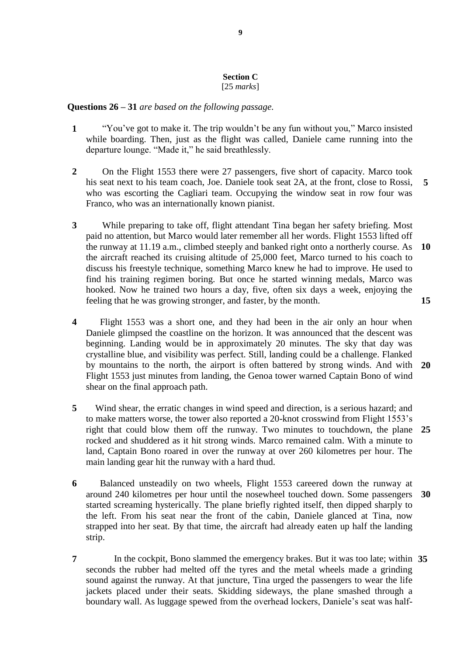#### **Section C** [25 *marks*]

## **Questions 26 – 31** *are based on the following passage.*

- **1** "You've got to make it. The trip wouldn't be any fun without you," Marco insisted while boarding. Then, just as the flight was called, Daniele came running into the departure lounge. "Made it," he said breathlessly.
- **2** On the Flight 1553 there were 27 passengers, five short of capacity. Marco took his seat next to his team coach, Joe. Daniele took seat 2A, at the front, close to Rossi, who was escorting the Cagliari team. Occupying the window seat in row four was Franco, who was an internationally known pianist. **5**
- **3** While preparing to take off, flight attendant Tina began her safety briefing. Most paid no attention, but Marco would later remember all her words. Flight 1553 lifted off the runway at 11.19 a.m., climbed steeply and banked right onto a northerly course. As the aircraft reached its cruising altitude of 25,000 feet, Marco turned to his coach to discuss his freestyle technique, something Marco knew he had to improve. He used to find his training regimen boring. But once he started winning medals, Marco was hooked. Now he trained two hours a day, five, often six days a week, enjoying the feeling that he was growing stronger, and faster, by the month. **10 15**
- **4** Flight 1553 was a short one, and they had been in the air only an hour when Daniele glimpsed the coastline on the horizon. It was announced that the descent was beginning. Landing would be in approximately 20 minutes. The sky that day was crystalline blue, and visibility was perfect. Still, landing could be a challenge. Flanked by mountains to the north, the airport is often battered by strong winds. And with Flight 1553 just minutes from landing, the Genoa tower warned Captain Bono of wind shear on the final approach path. **20**
- **5** Wind shear, the erratic changes in wind speed and direction, is a serious hazard; and to make matters worse, the tower also reported a 20-knot crosswind from Flight 1553's right that could blow them off the runway. Two minutes to touchdown, the plane **25** rocked and shuddered as it hit strong winds. Marco remained calm. With a minute to land, Captain Bono roared in over the runway at over 260 kilometres per hour. The main landing gear hit the runway with a hard thud.
- **6** Balanced unsteadily on two wheels, Flight 1553 careered down the runway at around 240 kilometres per hour until the nosewheel touched down. Some passengers started screaming hysterically. The plane briefly righted itself, then dipped sharply to the left. From his seat near the front of the cabin, Daniele glanced at Tina, now strapped into her seat. By that time, the aircraft had already eaten up half the landing strip. **30**
- **7** In the cockpit, Bono slammed the emergency brakes. But it was too late; within **35**seconds the rubber had melted off the tyres and the metal wheels made a grinding sound against the runway. At that juncture, Tina urged the passengers to wear the life jackets placed under their seats. Skidding sideways, the plane smashed through a boundary wall. As luggage spewed from the overhead lockers, Daniele's seat was half-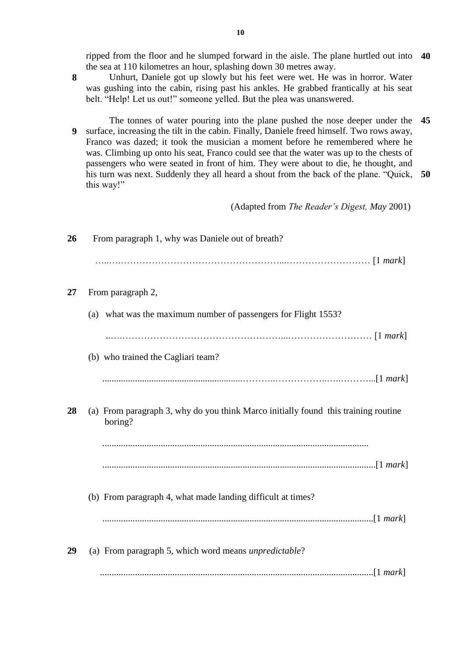ripped from the floor and he slumped forward in the aisle. The plane hurtled out into **40** the sea at 110 kilometres an hour, splashing down 30 metres away.

- **8** Unhurt, Daniele got up slowly but his feet were wet. He was in horror. Water was gushing into the cabin, rising past his ankles. He grabbed frantically at his seat belt. "Help! Let us out!" someone yelled. But the plea was unanswered.
- **9** The tonnes of water pouring into the plane pushed the nose deeper under the **45** surface, increasing the tilt in the cabin. Finally, Daniele freed himself. Two rows away, Franco was dazed; it took the musician a moment before he remembered where he was. Climbing up onto his seat, Franco could see that the water was up to the chests of passengers who were seated in front of him. They were about to die, he thought, and his turn was next. Suddenly they all heard a shout from the back of the plane. "Quick, **50** this way!"

(Adapted from *The Reader's Digest, May* 2001)

| 26 | From paragraph 1, why was Daniele out of breath?                                              |
|----|-----------------------------------------------------------------------------------------------|
|    |                                                                                               |
| 27 | From paragraph 2,                                                                             |
|    | (a) what was the maximum number of passengers for Flight 1553?                                |
|    |                                                                                               |
|    | (b) who trained the Cagliari team?                                                            |
|    |                                                                                               |
| 28 | (a) From paragraph 3, why do you think Marco initially found this training routine<br>boring? |
|    |                                                                                               |
|    | (b) From paragraph 4, what made landing difficult at times?                                   |
|    |                                                                                               |
| 29 | (a) From paragraph 5, which word means <i>unpredictable</i> ?                                 |
|    |                                                                                               |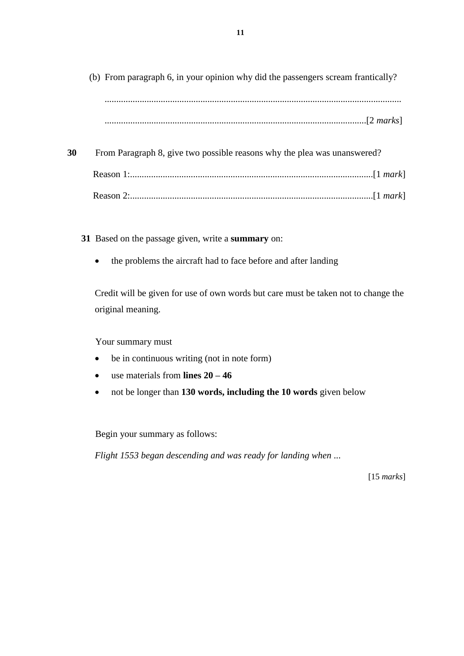(b) From paragraph 6, in your opinion why did the passengers scream frantically? ............................................................................................................................... ................................................................................................................[2 *marks*]

**30** From Paragraph 8, give two possible reasons why the plea was unanswered? Reason 1:........................................................................................................[1 *mark*] Reason 2:........................................................................................................[1 *mark*]

- **31** Based on the passage given, write a **summary** on:
	- the problems the aircraft had to face before and after landing

Credit will be given for use of own words but care must be taken not to change the original meaning.

Your summary must

- be in continuous writing (not in note form)
- use materials from **lines 20 – 46**
- not be longer than **130 words, including the 10 words** given below

Begin your summary as follows:

*Flight 1553 began descending and was ready for landing when* ...

[15 *marks*]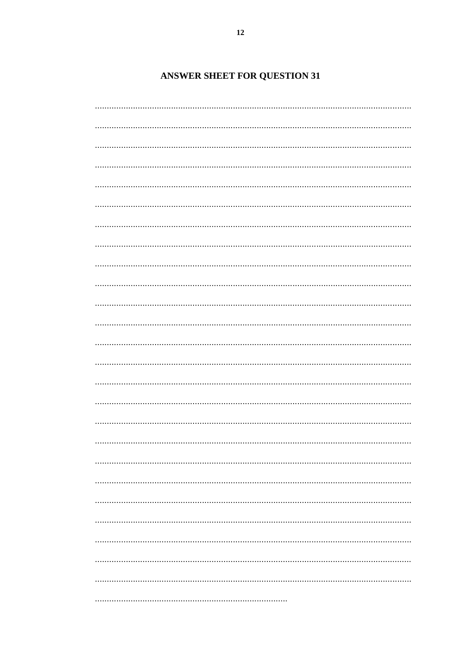# **ANSWER SHEET FOR QUESTION 31**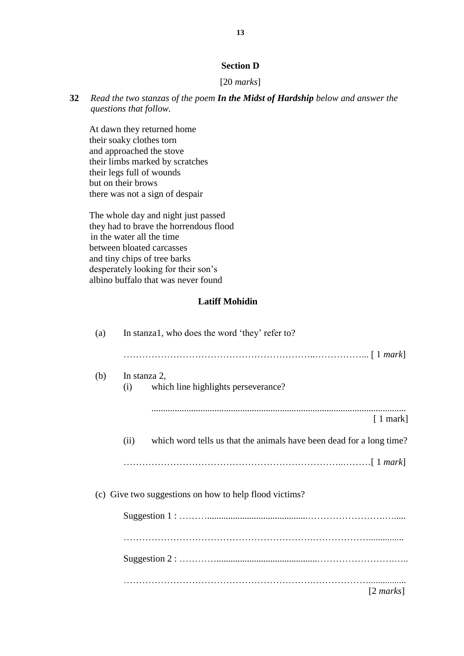# **Section D**

## [20 *marks*]

**32** *Read the two stanzas of the poem In the Midst of Hardship below and answer the questions that follow.*

At dawn they returned home their soaky clothes torn and approached the stove their limbs marked by scratches their legs full of wounds but on their brows there was not a sign of despair

The whole day and night just passed they had to brave the horrendous flood in the water all the time between bloated carcasses and tiny chips of tree barks desperately looking for their son's albino buffalo that was never found

#### **Latiff Mohidin**

| (a) | In stanza1, who does the word 'they' refer to?                               |
|-----|------------------------------------------------------------------------------|
|     |                                                                              |
| (b) | In stanza 2,<br>which line highlights perseverance?<br>(i)                   |
|     | $[1$ mark]                                                                   |
|     | which word tells us that the animals have been dead for a long time?<br>(ii) |
|     |                                                                              |
|     | (c) Give two suggestions on how to help flood victims?                       |
|     |                                                                              |
|     |                                                                              |
|     |                                                                              |
|     | $[2 \text{ marks}]$                                                          |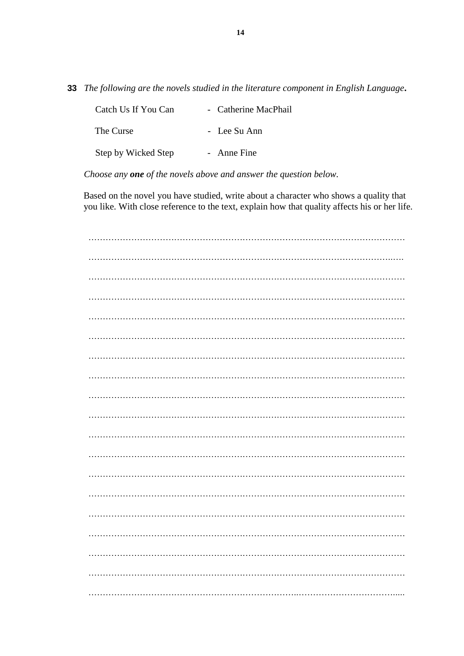**33** *The following are the novels studied in the literature component in English Language***.** 

| Catch Us If You Can | - Catherine MacPhail |
|---------------------|----------------------|
| The Curse           | - Lee Su Ann         |
| Step by Wicked Step | - Anne Fine          |

*Choose any one of the novels above and answer the question below.*

 Based on the novel you have studied, write about a character who shows a quality that you like. With close reference to the text, explain how that quality affects his or her life.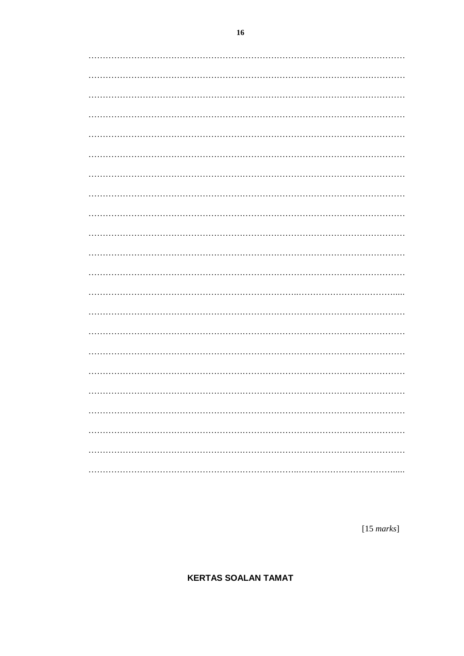$[15$  marks]

**KERTAS SOALAN TAMAT**